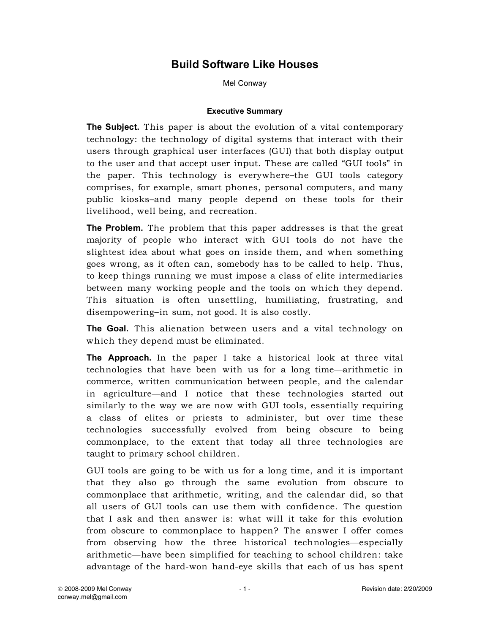## **Build Software Like Houses**

Mel Conway

#### **Executive Summary**

**The Subject.** This paper is about the evolution of a vital contemporary technology: the technology of digital systems that interact with their users through graphical user interfaces (GUI) that both display output to the user and that accept user input. These are called "GUI tools" in the paper. This technology is everywhere–the GUI tools category comprises, for example, smart phones, personal computers, and many public kiosks–and many people depend on these tools for their livelihood, well being, and recreation.

**The Problem.** The problem that this paper addresses is that the great majority of people who interact with GUI tools do not have the slightest idea about what goes on inside them, and when something goes wrong, as it often can, somebody has to be called to help. Thus, to keep things running we must impose a class of elite intermediaries between many working people and the tools on which they depend. This situation is often unsettling, humiliating, frustrating, and disempowering–in sum, not good. It is also costly.

**The Goal.** This alienation between users and a vital technology on which they depend must be eliminated.

**The Approach.** In the paper I take a historical look at three vital technologies that have been with us for a long time—arithmetic in commerce, written communication between people, and the calendar in agriculture—and I notice that these technologies started out similarly to the way we are now with GUI tools, essentially requiring a class of elites or priests to administer, but over time these technologies successfully evolved from being obscure to being commonplace, to the extent that today all three technologies are taught to primary school children.

GUI tools are going to be with us for a long time, and it is important that they also go through the same evolution from obscure to commonplace that arithmetic, writing, and the calendar did, so that all users of GUI tools can use them with confidence. The question that I ask and then answer is: what will it take for this evolution from obscure to commonplace to happen? The answer I offer comes from observing how the three historical technologies—especially arithmetic—have been simplified for teaching to school children: take advantage of the hard-won hand-eye skills that each of us has spent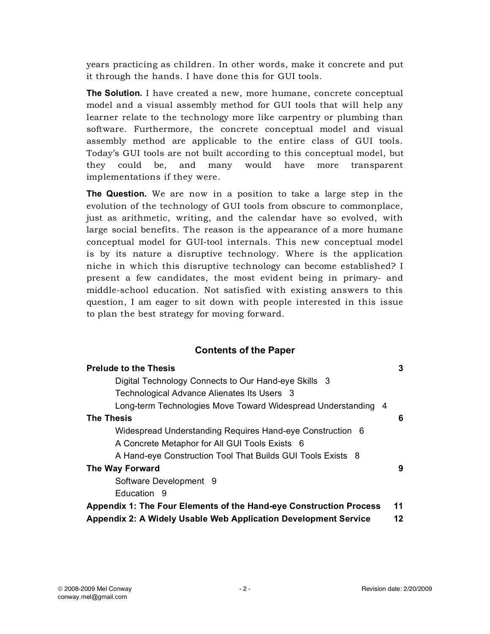years practicing as children. In other words, make it concrete and put it through the hands. I have done this for GUI tools.

**The Solution.** I have created a new, more humane, concrete conceptual model and a visual assembly method for GUI tools that will help any learner relate to the technology more like carpentry or plumbing than software. Furthermore, the concrete conceptual model and visual assembly method are applicable to the entire class of GUI tools. Today's GUI tools are not built according to this conceptual model, but they could be, and many would have more transparent implementations if they were.

**The Question.** We are now in a position to take a large step in the evolution of the technology of GUI tools from obscure to commonplace, just as arithmetic, writing, and the calendar have so evolved, with large social benefits. The reason is the appearance of a more humane conceptual model for GUI-tool internals. This new conceptual model is by its nature a disruptive technology. Where is the application niche in which this disruptive technology can become established? I present a few candidates, the most evident being in primary- and middle-school education. Not satisfied with existing answers to this question, I am eager to sit down with people interested in this issue to plan the best strategy for moving forward.

## **Contents of the Paper**

| <b>Prelude to the Thesis</b>                                              | 3  |
|---------------------------------------------------------------------------|----|
| Digital Technology Connects to Our Hand-eye Skills 3                      |    |
| Technological Advance Alienates Its Users 3                               |    |
| Long-term Technologies Move Toward Widespread Understanding 4             |    |
| <b>The Thesis</b>                                                         | 6  |
| Widespread Understanding Requires Hand-eye Construction 6                 |    |
| A Concrete Metaphor for All GUI Tools Exists 6                            |    |
| A Hand-eye Construction Tool That Builds GUI Tools Exists 8               |    |
| The Way Forward                                                           | 9  |
| Software Development 9                                                    |    |
| Education 9                                                               |    |
| <b>Appendix 1: The Four Elements of the Hand-eye Construction Process</b> |    |
| Appendix 2: A Widely Usable Web Application Development Service           | 12 |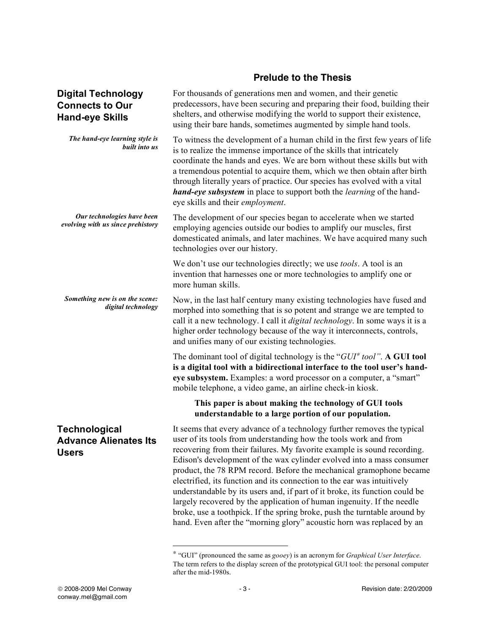## **Prelude to the Thesis**

predecessors, have been securing and preparing their food, building their shelters, and otherwise modifying the world to support their existence,

For thousands of generations men and women, and their genetic

## **Digital Technology Connects to Our Hand-eye Skills**

|                                                                      | using their bare hands, sometimes augmented by simple hand tools.                                                                                                                                                                                                                                                                                                                                                                                                                                                                                                                                                                                                                                                                                                |
|----------------------------------------------------------------------|------------------------------------------------------------------------------------------------------------------------------------------------------------------------------------------------------------------------------------------------------------------------------------------------------------------------------------------------------------------------------------------------------------------------------------------------------------------------------------------------------------------------------------------------------------------------------------------------------------------------------------------------------------------------------------------------------------------------------------------------------------------|
| The hand-eye learning style is<br>built into us                      | To witness the development of a human child in the first few years of life<br>is to realize the immense importance of the skills that intricately<br>coordinate the hands and eyes. We are born without these skills but with<br>a tremendous potential to acquire them, which we then obtain after birth<br>through literally years of practice. Our species has evolved with a vital<br>hand-eye subsystem in place to support both the learning of the hand-<br>eye skills and their employment.                                                                                                                                                                                                                                                              |
| Our technologies have been<br>evolving with us since prehistory      | The development of our species began to accelerate when we started<br>employing agencies outside our bodies to amplify our muscles, first<br>domesticated animals, and later machines. We have acquired many such<br>technologies over our history.                                                                                                                                                                                                                                                                                                                                                                                                                                                                                                              |
|                                                                      | We don't use our technologies directly; we use <i>tools</i> . A tool is an<br>invention that harnesses one or more technologies to amplify one or<br>more human skills.                                                                                                                                                                                                                                                                                                                                                                                                                                                                                                                                                                                          |
| Something new is on the scene:<br>digital technology                 | Now, in the last half century many existing technologies have fused and<br>morphed into something that is so potent and strange we are tempted to<br>call it a new technology. I call it <i>digital technology</i> . In some ways it is a<br>higher order technology because of the way it interconnects, controls,<br>and unifies many of our existing technologies.                                                                                                                                                                                                                                                                                                                                                                                            |
|                                                                      | The dominant tool of digital technology is the " $GUI^*$ tool". A GUI tool<br>is a digital tool with a bidirectional interface to the tool user's hand-<br>eye subsystem. Examples: a word processor on a computer, a "smart"<br>mobile telephone, a video game, an airline check-in kiosk.                                                                                                                                                                                                                                                                                                                                                                                                                                                                      |
|                                                                      | This paper is about making the technology of GUI tools<br>understandable to a large portion of our population.                                                                                                                                                                                                                                                                                                                                                                                                                                                                                                                                                                                                                                                   |
| <b>Technological</b><br><b>Advance Alienates Its</b><br><b>Users</b> | It seems that every advance of a technology further removes the typical<br>user of its tools from understanding how the tools work and from<br>recovering from their failures. My favorite example is sound recording.<br>Edison's development of the wax cylinder evolved into a mass consumer<br>product, the 78 RPM record. Before the mechanical gramophone became<br>electrified, its function and its connection to the ear was intuitively<br>understandable by its users and, if part of it broke, its function could be<br>largely recovered by the application of human ingenuity. If the needle<br>broke, use a toothpick. If the spring broke, push the turntable around by<br>hand. Even after the "morning glory" acoustic horn was replaced by an |

<sup>∗</sup> "GUI" (pronounced the same as *gooey*) is an acronym for *Graphical User Interface*. The term refers to the display screen of the prototypical GUI tool: the personal computer after the mid-1980s.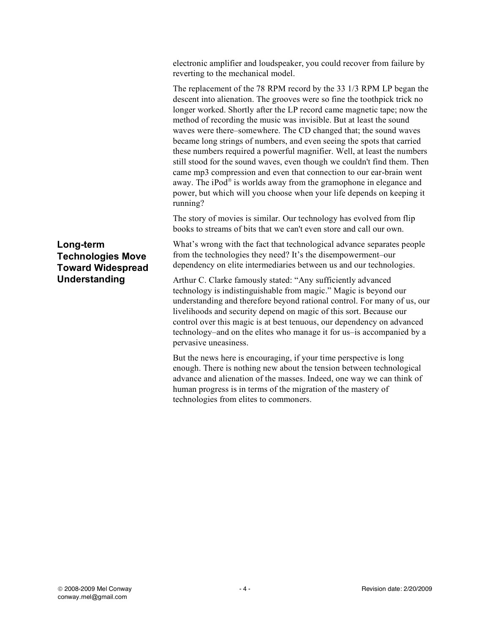electronic amplifier and loudspeaker, you could recover from failure by reverting to the mechanical model.

The replacement of the 78 RPM record by the 33 1/3 RPM LP began the descent into alienation. The grooves were so fine the toothpick trick no longer worked. Shortly after the LP record came magnetic tape; now the method of recording the music was invisible. But at least the sound waves were there–somewhere. The CD changed that; the sound waves became long strings of numbers, and even seeing the spots that carried these numbers required a powerful magnifier. Well, at least the numbers still stood for the sound waves, even though we couldn't find them. Then came mp3 compression and even that connection to our ear-brain went away. The iPod® is worlds away from the gramophone in elegance and power, but which will you choose when your life depends on keeping it running?

The story of movies is similar. Our technology has evolved from flip books to streams of bits that we can't even store and call our own.

What's wrong with the fact that technological advance separates people from the technologies they need? It's the disempowerment–our dependency on elite intermediaries between us and our technologies.

Arthur C. Clarke famously stated: "Any sufficiently advanced technology is indistinguishable from magic." Magic is beyond our understanding and therefore beyond rational control. For many of us, our livelihoods and security depend on magic of this sort. Because our control over this magic is at best tenuous, our dependency on advanced technology–and on the elites who manage it for us–is accompanied by a pervasive uneasiness.

But the news here is encouraging, if your time perspective is long enough. There is nothing new about the tension between technological advance and alienation of the masses. Indeed, one way we can think of human progress is in terms of the migration of the mastery of technologies from elites to commoners.

**Long-term Technologies Move Toward Widespread Understanding**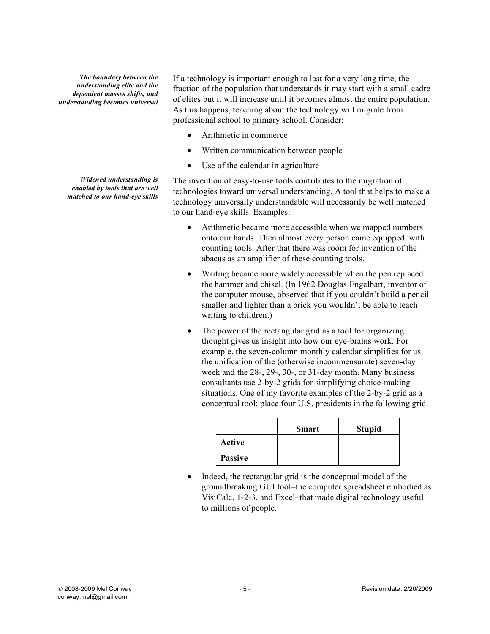*The boundary between the understanding elite and the dependent masses shifts, and understanding becomes universal*

*Widened understanding is enabled by tools that are well matched to our hand-eye skills*

If a technology is important enough to last for a very long time, the fraction of the population that understands it may start with a small cadre of elites but it will increase until it becomes almost the entire population. As this happens, teaching about the technology will migrate from professional school to primary school. Consider:

- Arithmetic in commerce
- Written communication between people
- Use of the calendar in agriculture

The invention of easy-to-use tools contributes to the migration of technologies toward universal understanding. A tool that helps to make a technology universally understandable will necessarily be well matched to our hand-eye skills. Examples:

- Arithmetic became more accessible when we mapped numbers onto our hands. Then almost every person came equipped with counting tools. After that there was room for invention of the abacus as an amplifier of these counting tools.
- Writing became more widely accessible when the pen replaced the hammer and chisel. (In 1962 Douglas Engelbart, inventor of the computer mouse, observed that if you couldn't build a pencil smaller and lighter than a brick you wouldn't be able to teach writing to children.)
- The power of the rectangular grid as a tool for organizing thought gives us insight into how our eye-brains work. For example, the seven-column monthly calendar simplifies for us the unification of the (otherwise incommensurate) seven-day week and the 28-, 29-, 30-, or 31-day month. Many business consultants use 2-by-2 grids for simplifying choice-making situations. One of my favorite examples of the 2-by-2 grid as a conceptual tool: place four U.S. presidents in the following grid.

|                | <b>Smart</b> | <b>Stupid</b> |
|----------------|--------------|---------------|
| Active         |              |               |
| <b>Passive</b> |              |               |

Indeed, the rectangular grid is the conceptual model of the groundbreaking GUI tool–the computer spreadsheet embodied as VisiCalc, 1-2-3, and Excel–that made digital technology useful to millions of people.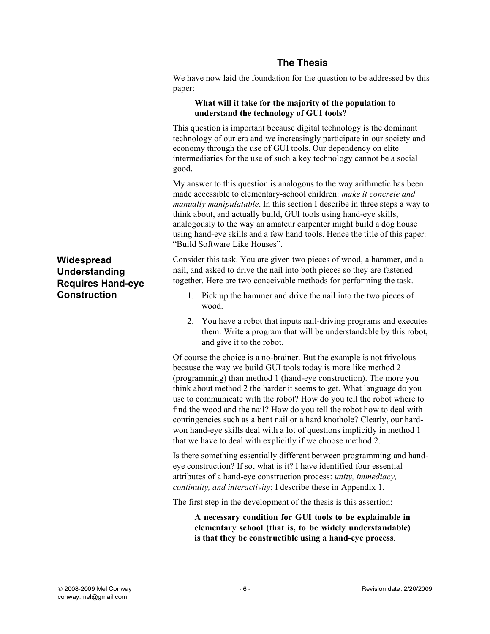## **The Thesis**

We have now laid the foundation for the question to be addressed by this paper:

#### **What will it take for the majority of the population to understand the technology of GUI tools?**

This question is important because digital technology is the dominant technology of our era and we increasingly participate in our society and economy through the use of GUI tools. Our dependency on elite intermediaries for the use of such a key technology cannot be a social good.

My answer to this question is analogous to the way arithmetic has been made accessible to elementary-school children: *make it concrete and manually manipulatable*. In this section I describe in three steps a way to think about, and actually build, GUI tools using hand-eye skills, analogously to the way an amateur carpenter might build a dog house using hand-eye skills and a few hand tools. Hence the title of this paper: "Build Software Like Houses".

Consider this task. You are given two pieces of wood, a hammer, and a nail, and asked to drive the nail into both pieces so they are fastened together. Here are two conceivable methods for performing the task.

- 1. Pick up the hammer and drive the nail into the two pieces of wood.
- 2. You have a robot that inputs nail-driving programs and executes them. Write a program that will be understandable by this robot, and give it to the robot.

Of course the choice is a no-brainer. But the example is not frivolous because the way we build GUI tools today is more like method 2 (programming) than method 1 (hand-eye construction). The more you think about method 2 the harder it seems to get. What language do you use to communicate with the robot? How do you tell the robot where to find the wood and the nail? How do you tell the robot how to deal with contingencies such as a bent nail or a hard knothole? Clearly, our hardwon hand-eye skills deal with a lot of questions implicitly in method 1 that we have to deal with explicitly if we choose method 2.

Is there something essentially different between programming and handeye construction? If so, what is it? I have identified four essential attributes of a hand-eye construction process: *unity, immediacy, continuity, and interactivity*; I describe these in Appendix 1.

The first step in the development of the thesis is this assertion:

**A necessary condition for GUI tools to be explainable in elementary school (that is, to be widely understandable) is that they be constructible using a hand-eye process**.

## **Widespread Understanding Requires Hand-eye Construction**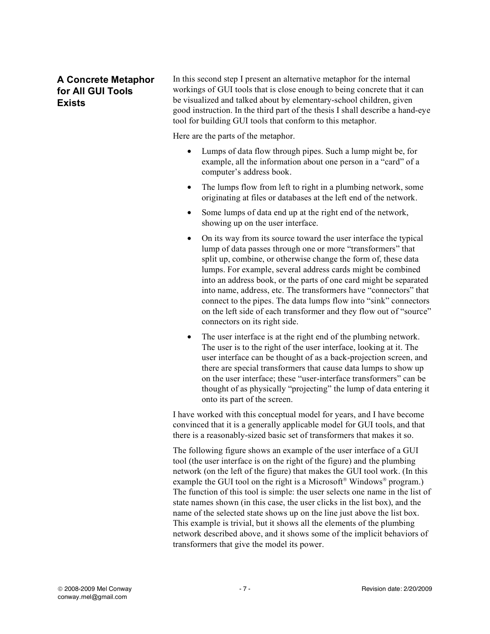## **A Concrete Metaphor for All GUI Tools Exists**

In this second step I present an alternative metaphor for the internal workings of GUI tools that is close enough to being concrete that it can be visualized and talked about by elementary-school children, given good instruction. In the third part of the thesis I shall describe a hand-eye tool for building GUI tools that conform to this metaphor.

Here are the parts of the metaphor.

- Lumps of data flow through pipes. Such a lump might be, for example, all the information about one person in a "card" of a computer's address book.
- The lumps flow from left to right in a plumbing network, some originating at files or databases at the left end of the network.
- Some lumps of data end up at the right end of the network, showing up on the user interface.
- On its way from its source toward the user interface the typical lump of data passes through one or more "transformers" that split up, combine, or otherwise change the form of, these data lumps. For example, several address cards might be combined into an address book, or the parts of one card might be separated into name, address, etc. The transformers have "connectors" that connect to the pipes. The data lumps flow into "sink" connectors on the left side of each transformer and they flow out of "source" connectors on its right side.
- The user interface is at the right end of the plumbing network. The user is to the right of the user interface, looking at it. The user interface can be thought of as a back-projection screen, and there are special transformers that cause data lumps to show up on the user interface; these "user-interface transformers" can be thought of as physically "projecting" the lump of data entering it onto its part of the screen.

I have worked with this conceptual model for years, and I have become convinced that it is a generally applicable model for GUI tools, and that there is a reasonably-sized basic set of transformers that makes it so.

The following figure shows an example of the user interface of a GUI tool (the user interface is on the right of the figure) and the plumbing network (on the left of the figure) that makes the GUI tool work. (In this example the GUI tool on the right is a Microsoft<sup>®</sup> Windows<sup>®</sup> program.) The function of this tool is simple: the user selects one name in the list of state names shown (in this case, the user clicks in the list box), and the name of the selected state shows up on the line just above the list box. This example is trivial, but it shows all the elements of the plumbing network described above, and it shows some of the implicit behaviors of transformers that give the model its power.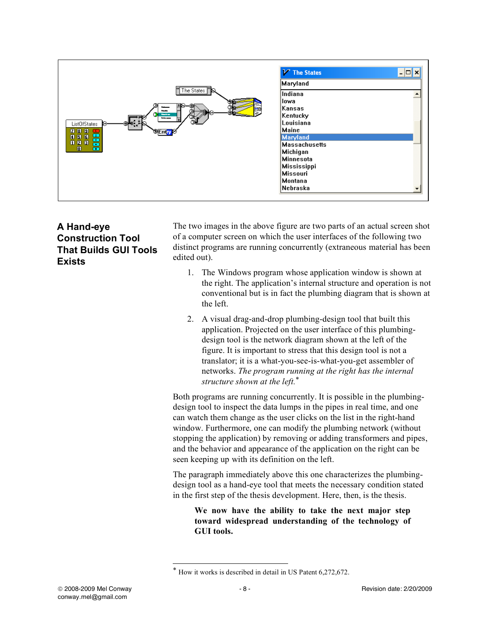

**A Hand-eye Construction Tool That Builds GUI Tools Exists**

The two images in the above figure are two parts of an actual screen shot of a computer screen on which the user interfaces of the following two distinct programs are running concurrently (extraneous material has been edited out).

- 1. The Windows program whose application window is shown at the right. The application's internal structure and operation is not conventional but is in fact the plumbing diagram that is shown at the left.
- 2. A visual drag-and-drop plumbing-design tool that built this application. Projected on the user interface of this plumbingdesign tool is the network diagram shown at the left of the figure. It is important to stress that this design tool is not a translator; it is a what-you-see-is-what-you-get assembler of networks. *The program running at the right has the internal structure shown at the left.*\*

Both programs are running concurrently. It is possible in the plumbingdesign tool to inspect the data lumps in the pipes in real time, and one can watch them change as the user clicks on the list in the right-hand window. Furthermore, one can modify the plumbing network (without stopping the application) by removing or adding transformers and pipes, and the behavior and appearance of the application on the right can be seen keeping up with its definition on the left.

The paragraph immediately above this one characterizes the plumbingdesign tool as a hand-eye tool that meets the necessary condition stated in the first step of the thesis development. Here, then, is the thesis.

**We now have the ability to take the next major step toward widespread understanding of the technology of GUI tools.** 

How it works is described in detail in US Patent 6,272,672.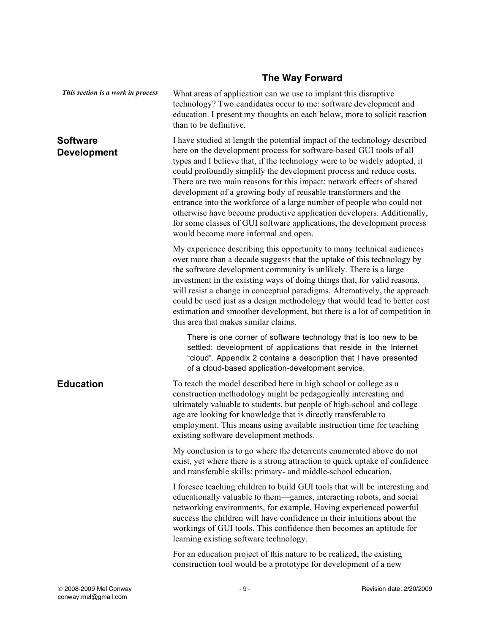# **The Way Forward**

| This section is a work in process     | What areas of application can we use to implant this disruptive<br>technology? Two candidates occur to me: software development and<br>education. I present my thoughts on each below, more to solicit reaction<br>than to be definitive.                                                                                                                                                                                                                                                                                                                                                                                                                                                                            |
|---------------------------------------|----------------------------------------------------------------------------------------------------------------------------------------------------------------------------------------------------------------------------------------------------------------------------------------------------------------------------------------------------------------------------------------------------------------------------------------------------------------------------------------------------------------------------------------------------------------------------------------------------------------------------------------------------------------------------------------------------------------------|
| <b>Software</b><br><b>Development</b> | I have studied at length the potential impact of the technology described<br>here on the development process for software-based GUI tools of all<br>types and I believe that, if the technology were to be widely adopted, it<br>could profoundly simplify the development process and reduce costs.<br>There are two main reasons for this impact: network effects of shared<br>development of a growing body of reusable transformers and the<br>entrance into the workforce of a large number of people who could not<br>otherwise have become productive application developers. Additionally,<br>for some classes of GUI software applications, the development process<br>would become more informal and open. |
|                                       | My experience describing this opportunity to many technical audiences<br>over more than a decade suggests that the uptake of this technology by<br>the software development community is unlikely. There is a large<br>investment in the existing ways of doing things that, for valid reasons,<br>will resist a change in conceptual paradigms. Alternatively, the approach<br>could be used just as a design methodology that would lead to better cost<br>estimation and smoother development, but there is a lot of competition in<br>this area that makes similar claims.                                                                                                                                       |
|                                       | There is one corner of software technology that is too new to be<br>settled: development of applications that reside in the Internet<br>"cloud". Appendix 2 contains a description that I have presented<br>of a cloud-based application-development service.                                                                                                                                                                                                                                                                                                                                                                                                                                                        |
| <b>Education</b>                      | To teach the model described here in high school or college as a<br>construction methodology might be pedagogically interesting and<br>ultimately valuable to students, but people of high-school and college<br>age are looking for knowledge that is directly transferable to<br>employment. This means using available instruction time for teaching<br>existing software development methods.                                                                                                                                                                                                                                                                                                                    |
|                                       | My conclusion is to go where the deterrents enumerated above do not<br>exist, yet where there is a strong attraction to quick uptake of confidence<br>and transferable skills: primary- and middle-school education.                                                                                                                                                                                                                                                                                                                                                                                                                                                                                                 |
|                                       | I foresee teaching children to build GUI tools that will be interesting and<br>educationally valuable to them-games, interacting robots, and social<br>networking environments, for example. Having experienced powerful<br>success the children will have confidence in their intuitions about the<br>workings of GUI tools. This confidence then becomes an aptitude for<br>learning existing software technology.                                                                                                                                                                                                                                                                                                 |
|                                       | For an education project of this nature to be realized, the existing<br>construction tool would be a prototype for development of a new                                                                                                                                                                                                                                                                                                                                                                                                                                                                                                                                                                              |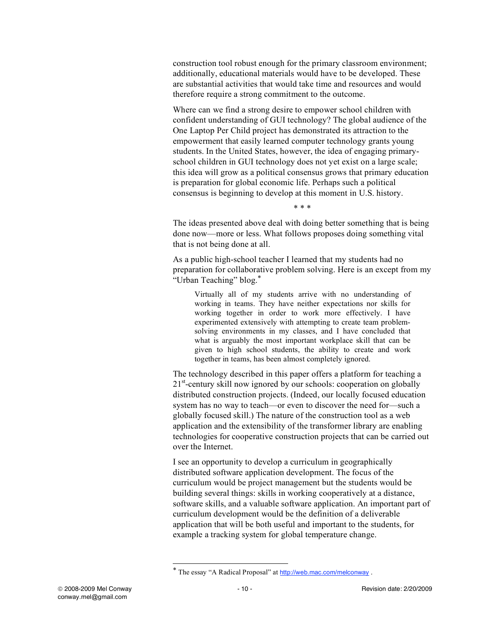construction tool robust enough for the primary classroom environment; additionally, educational materials would have to be developed. These are substantial activities that would take time and resources and would therefore require a strong commitment to the outcome.

Where can we find a strong desire to empower school children with confident understanding of GUI technology? The global audience of the One Laptop Per Child project has demonstrated its attraction to the empowerment that easily learned computer technology grants young students. In the United States, however, the idea of engaging primaryschool children in GUI technology does not yet exist on a large scale; this idea will grow as a political consensus grows that primary education is preparation for global economic life. Perhaps such a political consensus is beginning to develop at this moment in U.S. history.

\* \* \*

The ideas presented above deal with doing better something that is being done now—more or less. What follows proposes doing something vital that is not being done at all.

As a public high-school teacher I learned that my students had no preparation for collaborative problem solving. Here is an except from my "Urban Teaching" blog.\*

Virtually all of my students arrive with no understanding of working in teams. They have neither expectations nor skills for working together in order to work more effectively. I have experimented extensively with attempting to create team problemsolving environments in my classes, and I have concluded that what is arguably the most important workplace skill that can be given to high school students, the ability to create and work together in teams, has been almost completely ignored.

The technology described in this paper offers a platform for teaching a 21<sup>st</sup>-century skill now ignored by our schools: cooperation on globally distributed construction projects. (Indeed, our locally focused education system has no way to teach—or even to discover the need for—such a globally focused skill.) The nature of the construction tool as a web application and the extensibility of the transformer library are enabling technologies for cooperative construction projects that can be carried out over the Internet.

I see an opportunity to develop a curriculum in geographically distributed software application development. The focus of the curriculum would be project management but the students would be building several things: skills in working cooperatively at a distance, software skills, and a valuable software application. An important part of curriculum development would be the definition of a deliverable application that will be both useful and important to the students, for example a tracking system for global temperature change.

The essay "A Radical Proposal" at http://web.mac.com/melconway .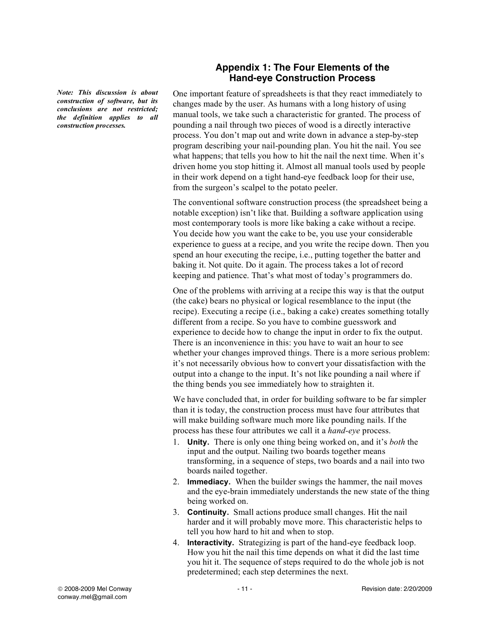*Note: This discussion is about construction of software, but its conclusions are not restricted; the definition applies to all construction processes.*

### **Appendix 1: The Four Elements of the Hand-eye Construction Process**

One important feature of spreadsheets is that they react immediately to changes made by the user. As humans with a long history of using manual tools, we take such a characteristic for granted. The process of pounding a nail through two pieces of wood is a directly interactive process. You don't map out and write down in advance a step-by-step program describing your nail-pounding plan. You hit the nail. You see what happens; that tells you how to hit the nail the next time. When it's driven home you stop hitting it. Almost all manual tools used by people in their work depend on a tight hand-eye feedback loop for their use, from the surgeon's scalpel to the potato peeler.

The conventional software construction process (the spreadsheet being a notable exception) isn't like that. Building a software application using most contemporary tools is more like baking a cake without a recipe. You decide how you want the cake to be, you use your considerable experience to guess at a recipe, and you write the recipe down. Then you spend an hour executing the recipe, i.e., putting together the batter and baking it. Not quite. Do it again. The process takes a lot of record keeping and patience. That's what most of today's programmers do.

One of the problems with arriving at a recipe this way is that the output (the cake) bears no physical or logical resemblance to the input (the recipe). Executing a recipe (i.e., baking a cake) creates something totally different from a recipe. So you have to combine guesswork and experience to decide how to change the input in order to fix the output. There is an inconvenience in this: you have to wait an hour to see whether your changes improved things. There is a more serious problem: it's not necessarily obvious how to convert your dissatisfaction with the output into a change to the input. It's not like pounding a nail where if the thing bends you see immediately how to straighten it.

We have concluded that, in order for building software to be far simpler than it is today, the construction process must have four attributes that will make building software much more like pounding nails. If the process has these four attributes we call it a *hand-eye* process.

- 1. **Unity.** There is only one thing being worked on, and it's *both* the input and the output. Nailing two boards together means transforming, in a sequence of steps, two boards and a nail into two boards nailed together.
- 2. **Immediacy.** When the builder swings the hammer, the nail moves and the eye-brain immediately understands the new state of the thing being worked on.
- 3. **Continuity.** Small actions produce small changes. Hit the nail harder and it will probably move more. This characteristic helps to tell you how hard to hit and when to stop.
- 4. **Interactivity.** Strategizing is part of the hand-eye feedback loop. How you hit the nail this time depends on what it did the last time you hit it. The sequence of steps required to do the whole job is not predetermined; each step determines the next.